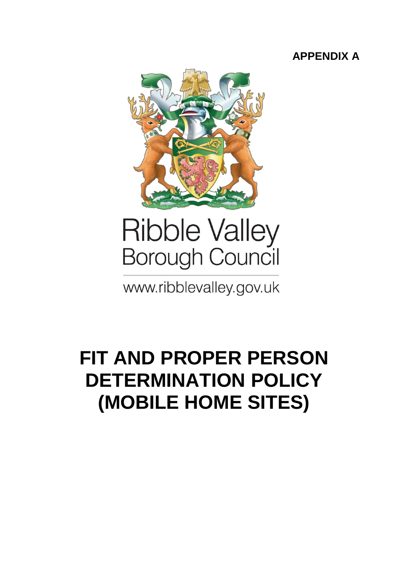## **APPENDIX A**



# **Ribble Valley Borough Council**

www.ribblevalley.gov.uk

# **FIT AND PROPER PERSON DETERMINATION POLICY (MOBILE HOME SITES)**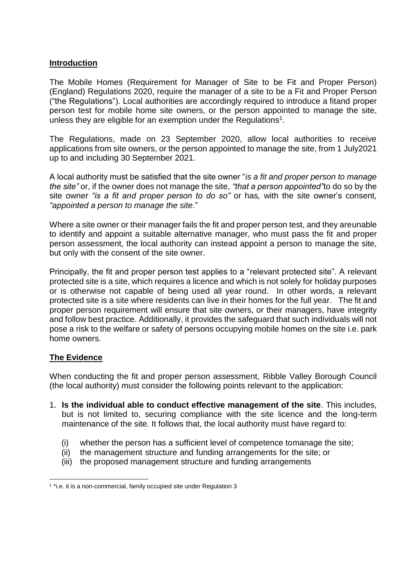#### **Introduction**

The Mobile Homes (Requirement for Manager of Site to be Fit and Proper Person) (England) Regulations 2020, require the manager of a site to be a Fit and Proper Person ("the Regulations"). Local authorities are accordingly required to introduce a fitand proper person test for mobile home site owners, or the person appointed to manage the site, unless they are eligible for an exemption under the Regulations<sup>1</sup>.

The Regulations, made on 23 September 2020, allow local authorities to receive applications from site owners, or the person appointed to manage the site, from 1 July2021 up to and including 30 September 2021.

A local authority must be satisfied that the site owner "*is a fit and proper person to manage the site"* or, if the owner does not manage the site, *"that a person appointed"*to do so by the site owner *"is a fit and proper person to do so"* or has*,* with the site owner's consent*, "appointed a person to manage the site*."

Where a site owner or their manager fails the fit and proper person test, and they areunable to identify and appoint a suitable alternative manager, who must pass the fit and proper person assessment, the local authority can instead appoint a person to manage the site, but only with the consent of the site owner.

Principally, the fit and proper person test applies to a "relevant protected site". A relevant protected site is a site, which requires a licence and which is not solely for holiday purposes or is otherwise not capable of being used all year round. In other words, a relevant protected site is a site where residents can live in their homes for the full year. The fit and proper person requirement will ensure that site owners, or their managers, have integrity and follow best practice. Additionally, it provides the safeguard that such individuals will not pose a risk to the welfare or safety of persons occupying mobile homes on the site i.e. park home owners.

#### **The Evidence**

When conducting the fit and proper person assessment, Ribble Valley Borough Council (the local authority) must consider the following points relevant to the application:

- 1. **Is the individual able to conduct effective management of the site**. This includes, but is not limited to, securing compliance with the site licence and the long-term maintenance of the site. It follows that, the local authority must have regard to:
	- (i) whether the person has a sufficient level of competence tomanage the site;
	- (ii) the management structure and funding arrangements for the site; or
	- (iii) the proposed management structure and funding arrangements

<sup>&</sup>lt;sup>1</sup> \*i.e. it is a non-commercial, family occupied site under Regulation 3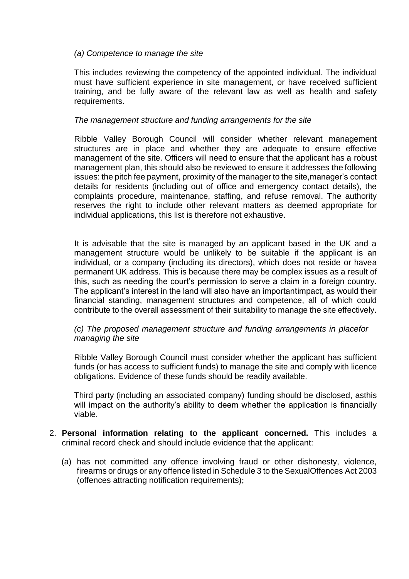#### *(a) Competence to manage the site*

This includes reviewing the competency of the appointed individual. The individual must have sufficient experience in site management, or have received sufficient training, and be fully aware of the relevant law as well as health and safety requirements.

#### *The management structure and funding arrangements for the site*

Ribble Valley Borough Council will consider whether relevant management structures are in place and whether they are adequate to ensure effective management of the site. Officers will need to ensure that the applicant has a robust management plan, this should also be reviewed to ensure it addresses the following issues: the pitch fee payment, proximity of the manager to the site,manager's contact details for residents (including out of office and emergency contact details), the complaints procedure, maintenance, staffing, and refuse removal. The authority reserves the right to include other relevant matters as deemed appropriate for individual applications, this list is therefore not exhaustive.

It is advisable that the site is managed by an applicant based in the UK and a management structure would be unlikely to be suitable if the applicant is an individual, or a company (including its directors), which does not reside or havea permanent UK address. This is because there may be complex issues as a result of this, such as needing the court's permission to serve a claim in a foreign country. The applicant's interest in the land will also have an importantimpact, as would their financial standing, management structures and competence, all of which could contribute to the overall assessment of their suitability to manage the site effectively.

#### *(c) The proposed management structure and funding arrangements in placefor managing the site*

Ribble Valley Borough Council must consider whether the applicant has sufficient funds (or has access to sufficient funds) to manage the site and comply with licence obligations. Evidence of these funds should be readily available.

Third party (including an associated company) funding should be disclosed, asthis will impact on the authority's ability to deem whether the application is financially viable.

- 2. **Personal information relating to the applicant concerned.** This includes a criminal record check and should include evidence that the applicant:
	- (a) has not committed any offence involving fraud or other dishonesty, violence, firearms or drugs or any offence listed in Schedule 3 to the SexualOffences Act 2003 (offences attracting notification requirements);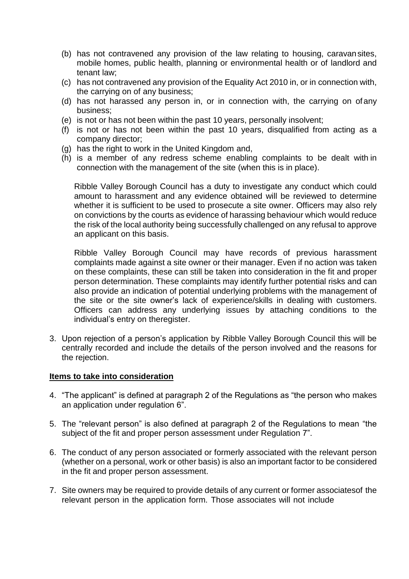- (b) has not contravened any provision of the law relating to housing, caravansites, mobile homes, public health, planning or environmental health or of landlord and tenant law;
- (c) has not contravened any provision of the Equality Act 2010 in, or in connection with, the carrying on of any business;
- (d) has not harassed any person in, or in connection with, the carrying on ofany business;
- (e) is not or has not been within the past 10 years, personally insolvent;
- (f) is not or has not been within the past 10 years, disqualified from acting as a company director;
- (g) has the right to work in the United Kingdom and,
- (h) is a member of any redress scheme enabling complaints to be dealt with in connection with the management of the site (when this is in place).

Ribble Valley Borough Council has a duty to investigate any conduct which could amount to harassment and any evidence obtained will be reviewed to determine whether it is sufficient to be used to prosecute a site owner. Officers may also rely on convictions by the courts as evidence of harassing behaviour which would reduce the risk of the local authority being successfully challenged on any refusal to approve an applicant on this basis.

Ribble Valley Borough Council may have records of previous harassment complaints made against a site owner or their manager. Even if no action was taken on these complaints, these can still be taken into consideration in the fit and proper person determination. These complaints may identify further potential risks and can also provide an indication of potential underlying problems with the management of the site or the site owner's lack of experience/skills in dealing with customers. Officers can address any underlying issues by attaching conditions to the individual's entry on theregister.

3. Upon rejection of a person's application by Ribble Valley Borough Council this will be centrally recorded and include the details of the person involved and the reasons for the rejection.

#### **Items to take into consideration**

- 4. "The applicant" is defined at paragraph 2 of the Regulations as "the person who makes an application under regulation 6".
- 5. The "relevant person" is also defined at paragraph 2 of the Regulations to mean "the subject of the fit and proper person assessment under Regulation 7".
- 6. The conduct of any person associated or formerly associated with the relevant person (whether on a personal, work or other basis) is also an important factor to be considered in the fit and proper person assessment.
- 7. Site owners may be required to provide details of any current or former associatesof the relevant person in the application form. Those associates will not include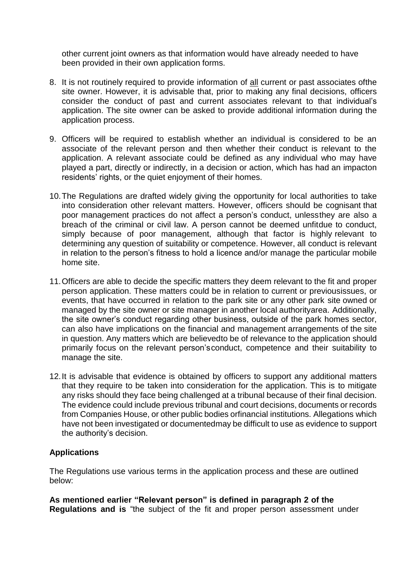other current joint owners as that information would have already needed to have been provided in their own application forms.

- 8. It is not routinely required to provide information of all current or past associates ofthe site owner. However, it is advisable that, prior to making any final decisions, officers consider the conduct of past and current associates relevant to that individual's application. The site owner can be asked to provide additional information during the application process.
- 9. Officers will be required to establish whether an individual is considered to be an associate of the relevant person and then whether their conduct is relevant to the application. A relevant associate could be defined as any individual who may have played a part, directly or indirectly, in a decision or action, which has had an impacton residents' rights, or the quiet enjoyment of their homes.
- 10.The Regulations are drafted widely giving the opportunity for local authorities to take into consideration other relevant matters. However, officers should be cognisant that poor management practices do not affect a person's conduct, unlessthey are also a breach of the criminal or civil law. A person cannot be deemed unfitdue to conduct, simply because of poor management, although that factor is highly relevant to determining any question of suitability or competence. However, all conduct is relevant in relation to the person's fitness to hold a licence and/or manage the particular mobile home site.
- 11.Officers are able to decide the specific matters they deem relevant to the fit and proper person application. These matters could be in relation to current or previousissues, or events, that have occurred in relation to the park site or any other park site owned or managed by the site owner or site manager in another local authorityarea. Additionally, the site owner's conduct regarding other business, outside of the park homes sector, can also have implications on the financial and management arrangements of the site in question. Any matters which are believedto be of relevance to the application should primarily focus on the relevant person'sconduct, competence and their suitability to manage the site.
- 12.It is advisable that evidence is obtained by officers to support any additional matters that they require to be taken into consideration for the application. This is to mitigate any risks should they face being challenged at a tribunal because of their final decision. The evidence could include previous tribunal and court decisions, documents or records from Companies House, or other public bodies orfinancial institutions. Allegations which have not been investigated or documentedmay be difficult to use as evidence to support the authority's decision.

#### **Applications**

The Regulations use various terms in the application process and these are outlined below:

**As mentioned earlier "Relevant person" is defined in paragraph 2 of the Regulations and is** "the subject of the fit and proper person assessment under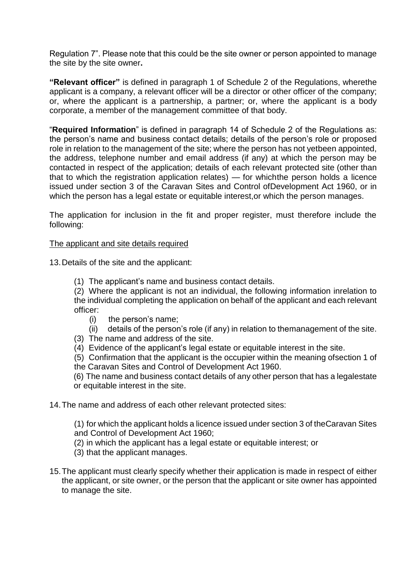Regulation 7". Please note that this could be the site owner or person appointed to manage the site by the site owner**.**

**"Relevant officer"** is defined in paragraph 1 of Schedule 2 of the Regulations, wherethe applicant is a company, a relevant officer will be a director or other officer of the company; or, where the applicant is a partnership, a partner; or, where the applicant is a body corporate, a member of the management committee of that body.

"**Required Information**" is defined in paragraph 14 of Schedule 2 of the Regulations as: the person's name and business contact details; details of the person's role or proposed role in relation to the management of the site; where the person has not yetbeen appointed, the address, telephone number and email address (if any) at which the person may be contacted in respect of the application; details of each relevant protected site (other than that to which the registration application relates) — for whichthe person holds a licence issued under section 3 of the Caravan Sites and Control ofDevelopment Act 1960, or in which the person has a legal estate or equitable interest,or which the person manages.

The application for inclusion in the fit and proper register, must therefore include the following:

#### The applicant and site details required

13.Details of the site and the applicant:

(1) The applicant's name and business contact details.

(2) Where the applicant is not an individual, the following information inrelation to the individual completing the application on behalf of the applicant and each relevant officer:

- (i) the person's name;
- (ii) details of the person's role (if any) in relation to themanagement of the site.
- (3) The name and address of the site.
- (4) Evidence of the applicant's legal estate or equitable interest in the site.

(5) Confirmation that the applicant is the occupier within the meaning ofsection 1 of the Caravan Sites and Control of Development Act 1960.

(6) The name and business contact details of any other person that has a legalestate or equitable interest in the site.

14.The name and address of each other relevant protected sites:

(1) for which the applicant holds a licence issued under section 3 of theCaravan Sites and Control of Development Act 1960;

- (2) in which the applicant has a legal estate or equitable interest; or
- (3) that the applicant manages.
- 15.The applicant must clearly specify whether their application is made in respect of either the applicant, or site owner, or the person that the applicant or site owner has appointed to manage the site.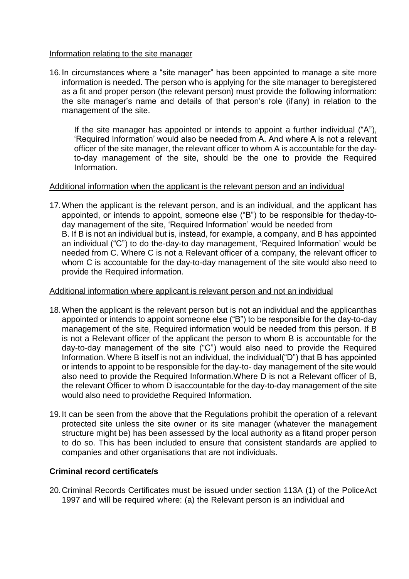#### Information relating to the site manager

16.In circumstances where a "site manager" has been appointed to manage a site more information is needed. The person who is applying for the site manager to beregistered as a fit and proper person (the relevant person) must provide the following information: the site manager's name and details of that person's role (ifany) in relation to the management of the site.

If the site manager has appointed or intends to appoint a further individual ("A"), 'Required Information' would also be needed from A. And where A is not a relevant officer of the site manager, the relevant officer to whom A is accountable for the dayto-day management of the site, should be the one to provide the Required Information.

#### Additional information when the applicant is the relevant person and an individual

17.When the applicant is the relevant person, and is an individual, and the applicant has appointed, or intends to appoint, someone else ("B") to be responsible for theday-today management of the site, 'Required Information' would be needed from B. If B is not an individual but is, instead, for example, a company, and B has appointed an individual ("C") to do the-day-to day management, 'Required Information' would be needed from C. Where C is not a Relevant officer of a company, the relevant officer to whom C is accountable for the day-to-day management of the site would also need to provide the Required information.

#### Additional information where applicant is relevant person and not an individual

- 18.When the applicant is the relevant person but is not an individual and the applicanthas appointed or intends to appoint someone else ("B") to be responsible for the day-to-day management of the site, Required information would be needed from this person. If B is not a Relevant officer of the applicant the person to whom B is accountable for the day-to-day management of the site ("C") would also need to provide the Required Information. Where B itself is not an individual, the individual("D") that B has appointed or intends to appoint to be responsible for the day-to- day management of the site would also need to provide the Required Information.Where D is not a Relevant officer of B, the relevant Officer to whom D isaccountable for the day-to-day management of the site would also need to providethe Required Information.
- 19.It can be seen from the above that the Regulations prohibit the operation of a relevant protected site unless the site owner or its site manager (whatever the management structure might be) has been assessed by the local authority as a fitand proper person to do so. This has been included to ensure that consistent standards are applied to companies and other organisations that are not individuals.

#### **Criminal record certificate/s**

20.Criminal Records Certificates must be issued under section 113A (1) of the PoliceAct 1997 and will be required where: (a) the Relevant person is an individual and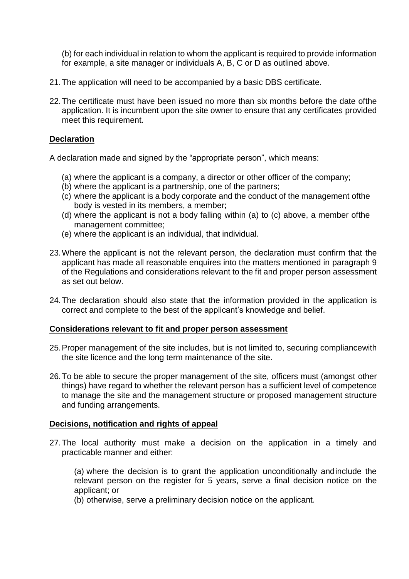(b) for each individual in relation to whom the applicant is required to provide information for example, a site manager or individuals A, B, C or D as outlined above.

- 21.The application will need to be accompanied by a basic DBS certificate.
- 22.The certificate must have been issued no more than six months before the date ofthe application. It is incumbent upon the site owner to ensure that any certificates provided meet this requirement.

#### **Declaration**

A declaration made and signed by the "appropriate person", which means:

- (a) where the applicant is a company, a director or other officer of the company;
- (b) where the applicant is a partnership, one of the partners;
- (c) where the applicant is a body corporate and the conduct of the management ofthe body is vested in its members, a member;
- (d) where the applicant is not a body falling within (a) to (c) above, a member ofthe management committee;
- (e) where the applicant is an individual, that individual.
- 23.Where the applicant is not the relevant person, the declaration must confirm that the applicant has made all reasonable enquires into the matters mentioned in paragraph 9 of the Regulations and considerations relevant to the fit and proper person assessment as set out below.
- 24.The declaration should also state that the information provided in the application is correct and complete to the best of the applicant's knowledge and belief.

#### **Considerations relevant to fit and proper person assessment**

- 25.Proper management of the site includes, but is not limited to, securing compliancewith the site licence and the long term maintenance of the site.
- 26.To be able to secure the proper management of the site, officers must (amongst other things) have regard to whether the relevant person has a sufficient level of competence to manage the site and the management structure or proposed management structure and funding arrangements.

#### **Decisions, notification and rights of appeal**

27.The local authority must make a decision on the application in a timely and practicable manner and either:

(a) where the decision is to grant the application unconditionally andinclude the relevant person on the register for 5 years, serve a final decision notice on the applicant; or

(b) otherwise, serve a preliminary decision notice on the applicant.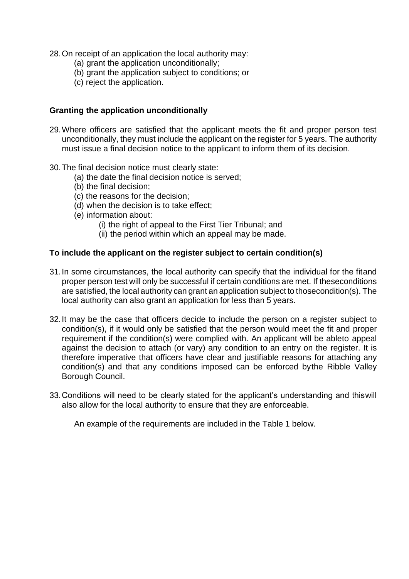- 28.On receipt of an application the local authority may:
	- (a) grant the application unconditionally;
	- (b) grant the application subject to conditions; or
	- (c) reject the application.

#### **Granting the application unconditionally**

- 29.Where officers are satisfied that the applicant meets the fit and proper person test unconditionally, they must include the applicant on the register for 5 years. The authority must issue a final decision notice to the applicant to inform them of its decision.
- 30.The final decision notice must clearly state:
	- (a) the date the final decision notice is served;
	- (b) the final decision;
	- (c) the reasons for the decision;
	- (d) when the decision is to take effect;
	- (e) information about:
		- (i) the right of appeal to the First Tier Tribunal; and
		- (ii) the period within which an appeal may be made.

#### **To include the applicant on the register subject to certain condition(s)**

- 31.In some circumstances, the local authority can specify that the individual for the fitand proper person test will only be successful if certain conditions are met. If theseconditions are satisfied, the local authority can grant an application subject to thosecondition(s). The local authority can also grant an application for less than 5 years.
- 32.It may be the case that officers decide to include the person on a register subject to condition(s), if it would only be satisfied that the person would meet the fit and proper requirement if the condition(s) were complied with. An applicant will be ableto appeal against the decision to attach (or vary) any condition to an entry on the register. It is therefore imperative that officers have clear and justifiable reasons for attaching any condition(s) and that any conditions imposed can be enforced bythe Ribble Valley Borough Council.
- 33.Conditions will need to be clearly stated for the applicant's understanding and thiswill also allow for the local authority to ensure that they are enforceable.

An example of the requirements are included in the Table 1 below.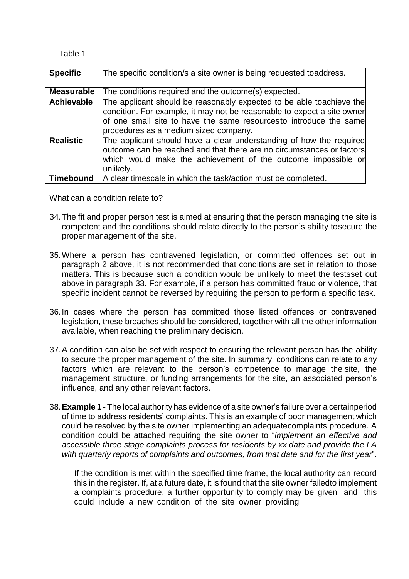#### Table 1

| <b>Specific</b>   | The specific condition/s a site owner is being requested toaddress.     |  |  |
|-------------------|-------------------------------------------------------------------------|--|--|
|                   |                                                                         |  |  |
| <b>Measurable</b> | The conditions required and the outcome(s) expected.                    |  |  |
| <b>Achievable</b> | The applicant should be reasonably expected to be able toachieve the    |  |  |
|                   | condition. For example, it may not be reasonable to expect a site owner |  |  |
|                   | of one small site to have the same resourcesto introduce the same       |  |  |
|                   | procedures as a medium sized company.                                   |  |  |
| <b>Realistic</b>  | The applicant should have a clear understanding of how the required     |  |  |
|                   | outcome can be reached and that there are no circumstances or factors   |  |  |
|                   | which would make the achievement of the outcome impossible or           |  |  |
|                   | unlikely.                                                               |  |  |
| Timebound         | A clear timescale in which the task/action must be completed.           |  |  |

What can a condition relate to?

- 34.The fit and proper person test is aimed at ensuring that the person managing the site is competent and the conditions should relate directly to the person's ability tosecure the proper management of the site.
- 35.Where a person has contravened legislation, or committed offences set out in paragraph 2 above, it is not recommended that conditions are set in relation to those matters. This is because such a condition would be unlikely to meet the testsset out above in paragraph 33. For example, if a person has committed fraud or violence, that specific incident cannot be reversed by requiring the person to perform a specific task.
- 36.In cases where the person has committed those listed offences or contravened legislation, these breaches should be considered, together with all the other information available, when reaching the preliminary decision.
- 37.A condition can also be set with respect to ensuring the relevant person has the ability to secure the proper management of the site. In summary, conditions can relate to any factors which are relevant to the person's competence to manage the site, the management structure, or funding arrangements for the site, an associated person's influence, and any other relevant factors.
- 38.**Example 1** The local authority has evidence of a site owner's failure over a certainperiod of time to address residents' complaints. This is an example of poor management which could be resolved by the site owner implementing an adequatecomplaints procedure. A condition could be attached requiring the site owner to "*implement an effective and accessible three stage complaints process for residents by xx date and provide the LA with quarterly reports of complaints and outcomes, from that date and for the first year*".

If the condition is met within the specified time frame, the local authority can record this in the register. If, at a future date, it is found that the site owner failedto implement a complaints procedure, a further opportunity to comply may be given and this could include a new condition of the site owner providing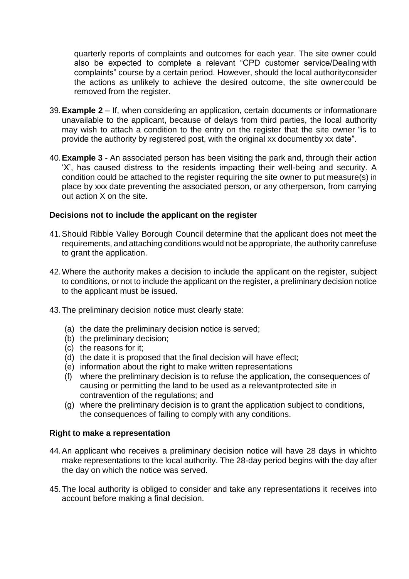quarterly reports of complaints and outcomes for each year. The site owner could also be expected to complete a relevant "CPD customer service/Dealing with complaints" course by a certain period. However, should the local authorityconsider the actions as unlikely to achieve the desired outcome, the site ownercould be removed from the register.

- 39.**Example 2** If, when considering an application, certain documents or informationare unavailable to the applicant, because of delays from third parties, the local authority may wish to attach a condition to the entry on the register that the site owner "is to provide the authority by registered post, with the original xx documentby xx date".
- 40.**Example 3**  An associated person has been visiting the park and, through their action 'X', has caused distress to the residents impacting their well-being and security. A condition could be attached to the register requiring the site owner to put measure(s) in place by xxx date preventing the associated person, or any otherperson, from carrying out action X on the site.

#### **Decisions not to include the applicant on the register**

- 41.Should Ribble Valley Borough Council determine that the applicant does not meet the requirements, and attaching conditions would not be appropriate, the authority canrefuse to grant the application.
- 42.Where the authority makes a decision to include the applicant on the register, subject to conditions, or not to include the applicant on the register, a preliminary decision notice to the applicant must be issued.
- 43.The preliminary decision notice must clearly state:
	- (a) the date the preliminary decision notice is served;
	- (b) the preliminary decision;
	- (c) the reasons for it;
	- (d) the date it is proposed that the final decision will have effect;
	- (e) information about the right to make written representations
	- (f) where the preliminary decision is to refuse the application, the consequences of causing or permitting the land to be used as a relevantprotected site in contravention of the regulations; and
	- (g) where the preliminary decision is to grant the application subject to conditions, the consequences of failing to comply with any conditions.

#### **Right to make a representation**

- 44.An applicant who receives a preliminary decision notice will have 28 days in whichto make representations to the local authority. The 28-day period begins with the day after the day on which the notice was served.
- 45.The local authority is obliged to consider and take any representations it receives into account before making a final decision.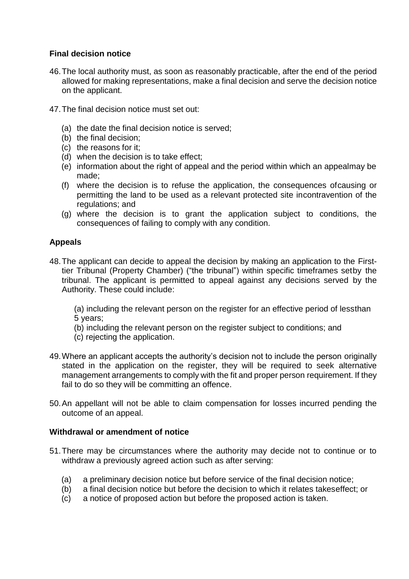#### **Final decision notice**

- 46.The local authority must, as soon as reasonably practicable, after the end of the period allowed for making representations, make a final decision and serve the decision notice on the applicant.
- 47.The final decision notice must set out:
	- (a) the date the final decision notice is served;
	- (b) the final decision;
	- (c) the reasons for it;
	- (d) when the decision is to take effect;
	- (e) information about the right of appeal and the period within which an appealmay be made;
	- (f) where the decision is to refuse the application, the consequences ofcausing or permitting the land to be used as a relevant protected site incontravention of the regulations; and
	- (g) where the decision is to grant the application subject to conditions, the consequences of failing to comply with any condition.

#### **Appeals**

48.The applicant can decide to appeal the decision by making an application to the Firsttier Tribunal (Property Chamber) ("the tribunal") within specific timeframes setby the tribunal. The applicant is permitted to appeal against any decisions served by the Authority. These could include:

(a) including the relevant person on the register for an effective period of lessthan 5 years;

- (b) including the relevant person on the register subject to conditions; and
- (c) rejecting the application.
- 49.Where an applicant accepts the authority's decision not to include the person originally stated in the application on the register, they will be required to seek alternative management arrangements to comply with the fit and proper person requirement. If they fail to do so they will be committing an offence.
- 50.An appellant will not be able to claim compensation for losses incurred pending the outcome of an appeal.

#### **Withdrawal or amendment of notice**

- 51.There may be circumstances where the authority may decide not to continue or to withdraw a previously agreed action such as after serving:
	- (a) a preliminary decision notice but before service of the final decision notice;
	- (b) a final decision notice but before the decision to which it relates takeseffect; or
	- (c) a notice of proposed action but before the proposed action is taken.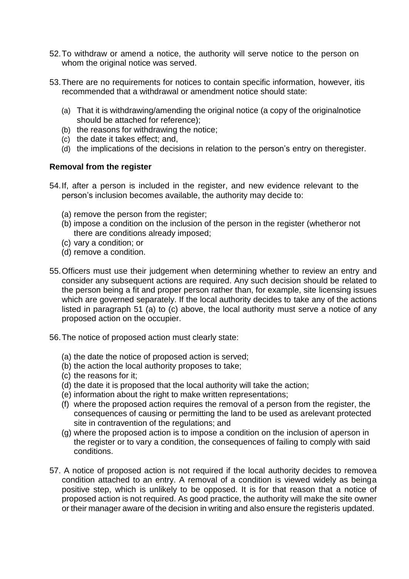- 52.To withdraw or amend a notice, the authority will serve notice to the person on whom the original notice was served.
- 53.There are no requirements for notices to contain specific information, however, itis recommended that a withdrawal or amendment notice should state:
	- (a) That it is withdrawing/amending the original notice (a copy of the originalnotice should be attached for reference);
	- (b) the reasons for withdrawing the notice;
	- (c) the date it takes effect; and,
	- (d) the implications of the decisions in relation to the person's entry on theregister.

#### **Removal from the register**

- 54.If, after a person is included in the register, and new evidence relevant to the person's inclusion becomes available, the authority may decide to:
	- (a) remove the person from the register;
	- (b) impose a condition on the inclusion of the person in the register (whetheror not there are conditions already imposed;
	- (c) vary a condition; or
	- (d) remove a condition.
- 55.Officers must use their judgement when determining whether to review an entry and consider any subsequent actions are required. Any such decision should be related to the person being a fit and proper person rather than, for example, site licensing issues which are governed separately. If the local authority decides to take any of the actions listed in paragraph 51 (a) to (c) above, the local authority must serve a notice of any proposed action on the occupier.
- 56.The notice of proposed action must clearly state:
	- (a) the date the notice of proposed action is served;
	- (b) the action the local authority proposes to take;
	- (c) the reasons for it;
	- (d) the date it is proposed that the local authority will take the action;
	- (e) information about the right to make written representations;
	- (f) where the proposed action requires the removal of a person from the register, the consequences of causing or permitting the land to be used as arelevant protected site in contravention of the regulations; and
	- (g) where the proposed action is to impose a condition on the inclusion of aperson in the register or to vary a condition, the consequences of failing to comply with said conditions.
- 57. A notice of proposed action is not required if the local authority decides to removea condition attached to an entry. A removal of a condition is viewed widely as beinga positive step, which is unlikely to be opposed. It is for that reason that a notice of proposed action is not required. As good practice, the authority will make the site owner or their manager aware of the decision in writing and also ensure the registeris updated.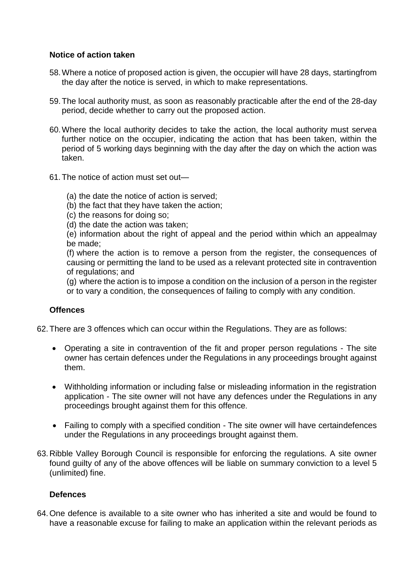#### **Notice of action taken**

- 58.Where a notice of proposed action is given, the occupier will have 28 days, startingfrom the day after the notice is served, in which to make representations.
- 59.The local authority must, as soon as reasonably practicable after the end of the 28-day period, decide whether to carry out the proposed action.
- 60.Where the local authority decides to take the action, the local authority must servea further notice on the occupier, indicating the action that has been taken, within the period of 5 working days beginning with the day after the day on which the action was taken.
- 61.The notice of action must set out—
	- (a) the date the notice of action is served;
	- (b) the fact that they have taken the action;
	- (c) the reasons for doing so;
	- (d) the date the action was taken;

(e) information about the right of appeal and the period within which an appealmay be made;

(f) where the action is to remove a person from the register, the consequences of causing or permitting the land to be used as a relevant protected site in contravention of regulations; and

(g) where the action is to impose a condition on the inclusion of a person in the register or to vary a condition, the consequences of failing to comply with any condition.

#### **Offences**

62.There are 3 offences which can occur within the Regulations. They are as follows:

- Operating a site in contravention of the fit and proper person regulations The site owner has certain defences under the Regulations in any proceedings brought against them.
- Withholding information or including false or misleading information in the registration application - The site owner will not have any defences under the Regulations in any proceedings brought against them for this offence.
- Failing to comply with a specified condition The site owner will have certaindefences under the Regulations in any proceedings brought against them.
- 63.Ribble Valley Borough Council is responsible for enforcing the regulations. A site owner found guilty of any of the above offences will be liable on summary conviction to a level 5 (unlimited) fine.

#### **Defences**

64.One defence is available to a site owner who has inherited a site and would be found to have a reasonable excuse for failing to make an application within the relevant periods as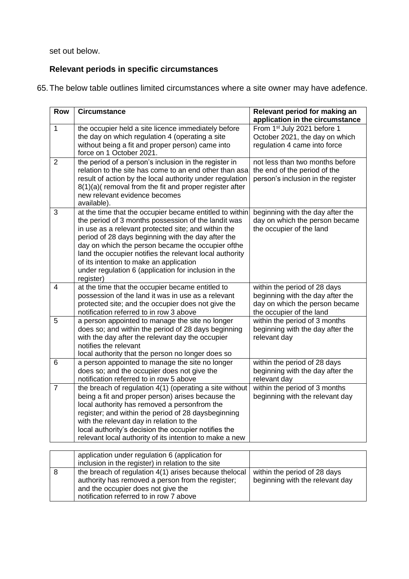set out below.

### **Relevant periods in specific circumstances**

65.The below table outlines limited circumstances where a site owner may have adefence.

| <b>Row</b>     | <b>Circumstance</b>                                                                                                                                                                                                                                                                                                                                                                                                                                          | Relevant period for making an<br>application in the circumstance                                                               |
|----------------|--------------------------------------------------------------------------------------------------------------------------------------------------------------------------------------------------------------------------------------------------------------------------------------------------------------------------------------------------------------------------------------------------------------------------------------------------------------|--------------------------------------------------------------------------------------------------------------------------------|
| $\mathbf{1}$   | the occupier held a site licence immediately before<br>the day on which regulation 4 (operating a site<br>without being a fit and proper person) came into<br>force on 1 October 2021.                                                                                                                                                                                                                                                                       | From 1st July 2021 before 1<br>October 2021, the day on which<br>regulation 4 came into force                                  |
| $\overline{2}$ | the period of a person's inclusion in the register in<br>relation to the site has come to an end other than asa<br>result of action by the local authority under regulation<br>8(1)(a)(removal from the fit and proper register after<br>new relevant evidence becomes<br>available).                                                                                                                                                                        | not less than two months before<br>the end of the period of the<br>person's inclusion in the register                          |
| 3              | at the time that the occupier became entitled to within<br>the period of 3 months possession of the landit was<br>in use as a relevant protected site; and within the<br>period of 28 days beginning with the day after the<br>day on which the person became the occupier of the<br>land the occupier notifies the relevant local authority<br>of its intention to make an application<br>under regulation 6 (application for inclusion in the<br>register) | beginning with the day after the<br>day on which the person became<br>the occupier of the land                                 |
| $\overline{4}$ | at the time that the occupier became entitled to<br>possession of the land it was in use as a relevant<br>protected site; and the occupier does not give the<br>notification referred to in row 3 above                                                                                                                                                                                                                                                      | within the period of 28 days<br>beginning with the day after the<br>day on which the person became<br>the occupier of the land |
| 5              | a person appointed to manage the site no longer<br>does so; and within the period of 28 days beginning<br>with the day after the relevant day the occupier<br>notifies the relevant<br>local authority that the person no longer does so                                                                                                                                                                                                                     | within the period of 3 months<br>beginning with the day after the<br>relevant day                                              |
| 6              | a person appointed to manage the site no longer<br>does so; and the occupier does not give the<br>notification referred to in row 5 above                                                                                                                                                                                                                                                                                                                    | within the period of 28 days<br>beginning with the day after the<br>relevant day                                               |
| $\overline{7}$ | the breach of regulation 4(1) (operating a site without<br>being a fit and proper person) arises because the<br>local authority has removed a personfrom the<br>register; and within the period of 28 daysbeginning<br>with the relevant day in relation to the<br>local authority's decision the occupier notifies the<br>relevant local authority of its intention to make a new                                                                           | within the period of 3 months<br>beginning with the relevant day                                                               |

| application under regulation 6 (application for                                                                                                                                              |                                                                 |
|----------------------------------------------------------------------------------------------------------------------------------------------------------------------------------------------|-----------------------------------------------------------------|
| inclusion in the register) in relation to the site                                                                                                                                           |                                                                 |
| the breach of regulation 4(1) arises because the local<br>authority has removed a person from the register;<br>and the occupier does not give the<br>notification referred to in row 7 above | within the period of 28 days<br>beginning with the relevant day |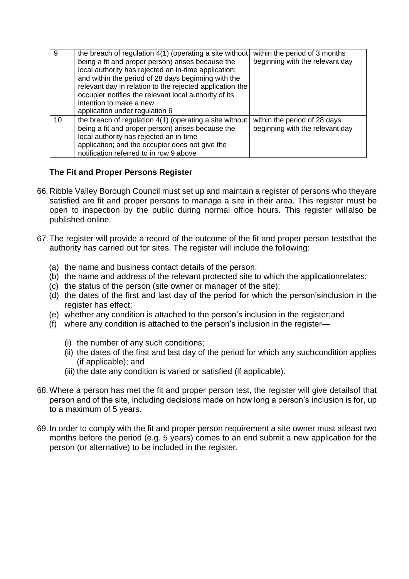| -9 | the breach of regulation 4(1) (operating a site without<br>being a fit and proper person) arises because the<br>local authority has rejected an in-time application;<br>and within the period of 28 days beginning with the<br>relevant day in relation to the rejected application the<br>occupier notifies the relevant local authority of its<br>intention to make a new<br>application under regulation 6 | within the period of 3 months<br>beginning with the relevant day |
|----|---------------------------------------------------------------------------------------------------------------------------------------------------------------------------------------------------------------------------------------------------------------------------------------------------------------------------------------------------------------------------------------------------------------|------------------------------------------------------------------|
| 10 | the breach of regulation 4(1) (operating a site without<br>being a fit and proper person) arises because the<br>local authority has rejected an in-time<br>application; and the occupier does not give the<br>notification referred to in row 9 above                                                                                                                                                         | within the period of 28 days<br>beginning with the relevant day  |

#### **The Fit and Proper Persons Register**

- 66.Ribble Valley Borough Council must set up and maintain a register of persons who theyare satisfied are fit and proper persons to manage a site in their area. This register must be open to inspection by the public during normal office hours. This register will also be published online.
- 67.The register will provide a record of the outcome of the fit and proper person teststhat the authority has carried out for sites. The register will include the following:
	- (a) the name and business contact details of the person;
	- (b) the name and address of the relevant protected site to which the applicationrelates;
	- (c) the status of the person (site owner or manager of the site);
	- (d) the dates of the first and last day of the period for which the person'sinclusion in the register has effect;
	- (e) whether any condition is attached to the person's inclusion in the register;and
	- (f) where any condition is attached to the person's inclusion in the register—
		- (i) the number of any such conditions;
		- (ii) the dates of the first and last day of the period for which any suchcondition applies (if applicable); and
		- (iii) the date any condition is varied or satisfied (if applicable).
- 68.Where a person has met the fit and proper person test, the register will give detailsof that person and of the site, including decisions made on how long a person's inclusion is for, up to a maximum of 5 years.
- 69. In order to comply with the fit and proper person requirement a site owner must atleast two months before the period (e.g. 5 years) comes to an end submit a new application for the person (or alternative) to be included in the register.